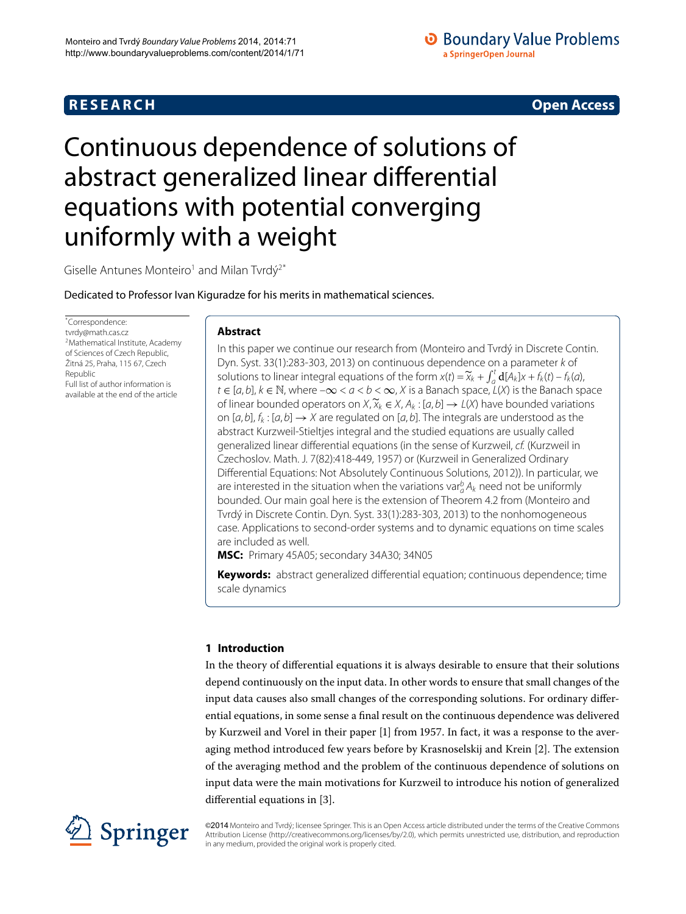## **R E S E A R C H Open Access**

## **O** Boundary Value Problems a SpringerOpen Journal

# Continuous dependence of solutions of abstract generalized linear differential equations with potential converging uniformly with a weight

<span id="page-0-0"></span>Giselle Antunes Monteiro<sup>1</sup> and Milan Tvrdý<sup>[2](#page-16-1)[\\*](#page-0-0)</sup>

Dedicated to Professor Ivan Kiguradze for his merits in mathematical sciences.

\* Correspondence: [tvrdy@math.cas.cz](mailto:tvrdy@math.cas.cz) <sup>2</sup> Mathematical Institute, Academy of Sciences of Czech Republic, Žitná 25, Praha, 115 67, Czech Republic Full list of author information is available at the end of the article

## **Abstract**

In this paper we continue our research from (Monteiro and Tvrdý in Discrete Contin. Dyn. Syst. 33(1):283-303, 2013) on continuous dependence on a parameter k of solutions to linear integral equations of the form  $x(t) = \tilde{x}_k + \int_0^t d[A_k]x + f_k(t) - f_k(a)$  $t \in [a, b]$ ,  $k \in \mathbb{N}$ , where  $-\infty < a < b < \infty$ , X is a Banach space,  $L(X)$  is the Banach space of linear bounded operators on  $X$ ,  $\widetilde{\chi}_k \in X$ ,  $A_k$  : [ $a, b$ ]  $\rightarrow$  L( $X$ ) have bounded variations on  $[a, b], f_k : [a, b] \rightarrow X$  are regulated on  $[a, b]$ . The integrals are understood as the abstract Kurzweil-Stieltjes integral and the studied equations are usually called generalized linear differential equations (in the sense of Kurzweil, cf. (Kurzweil in Czechoslov. Math. J. 7(82):418-449, 1957) or (Kurzweil in Generalized Ordinary Differential Equations: Not Absolutely Continuous Solutions, 2012)). In particular, we are interested in the situation when the variations var $_a^b A_k$  need not be uniformly bounded. Our main goal here is the extension of Theorem 4.2 from (Monteiro and Tvrdý in Discrete Contin. Dyn. Syst. 33(1):283-303, 2013) to the nonhomogeneous case. Applications to second-order systems and to dynamic equations on time scales are included as well.

**MSC:** Primary 45A05; secondary 34A30; 34N05

**Keywords:** abstract generalized differential equation; continuous dependence; time scale dynamics

## **1 Introduction**

In the theory of differential equations it is always desirable to ensure that their solutions depend continuously on the input data. In other words to ensure that small changes of the input data causes also small changes of the corresponding solutions. For ordinary differential equations, in some sense a final result on the continuous dependence was delivered by Kurzweil and Vorel in their paper [1] from 1957. In fact, it was a response to the aver-aging method introduced few years before by Krasnoselskij and Krein [\[](#page-16-3)2]. The extension of the averaging method and the problem of the continuous dependence of solutions on input data were the main motivations for Kurzweil to introduce his notion of generalized differential equations in [\[](#page-16-4)3].



©2014 Monteiro and Tvrdý; licensee Springer. This is an Open Access article distributed under the terms of the Creative Commons Attribution License [\(http://creativecommons.org/licenses/by/2.0](http://creativecommons.org/licenses/by/2.0)), which permits unrestricted use, distribution, and reproduction in any medium, provided the original work is properly cited.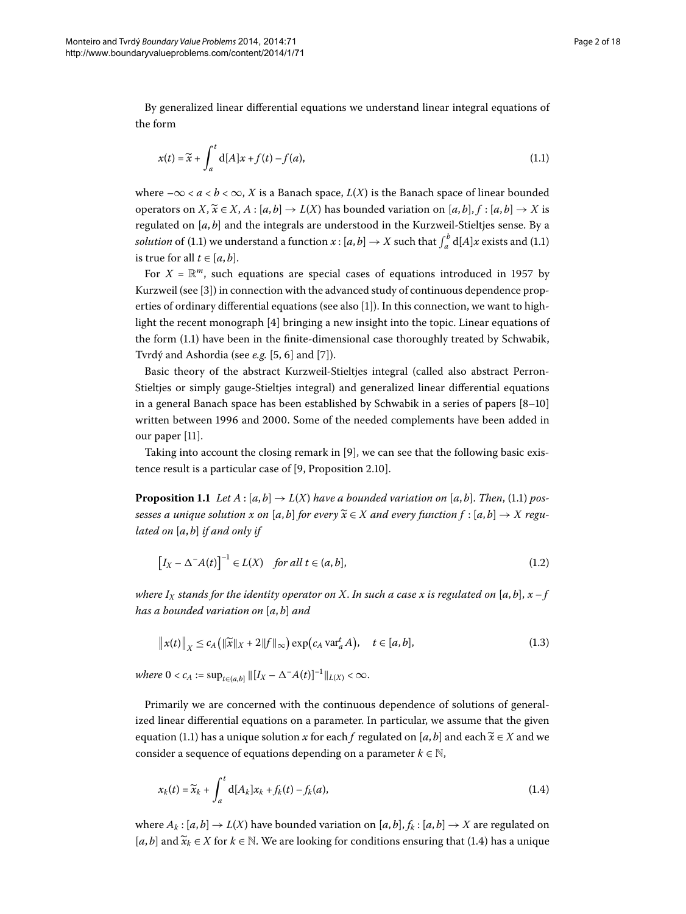By generalized linear differential equations we understand linear integral equations of the form

<span id="page-1-0"></span>
$$
x(t) = \widetilde{x} + \int_{a}^{t} d[A]x + f(t) - f(a),
$$
\n(1.1)

where  $-\infty < a < b < \infty$ , *X* is a Banach space, *L*(*X*) is the Banach space of linear bounded operators on *X*,  $\widetilde{x} \in X$ , *A* : [*a*, *b*]  $\rightarrow$  *L*(*X*) has bounded variation on [*a*, *b*], *f* : [*a*, *b*]  $\rightarrow$  *X* is regulated on [*a*, *b*] and the integrals are understood in the Kurzweil-Stieltjes sense. By a *solution* of (1[.](#page-1-0)1) we understand a function  $x$  : [ $a$ ,  $b$ ]  $\rightarrow$   $X$  such that  $\int_a^b$  d[A] $x$  exists and (1.1) is true for all  $t \in [a, b]$ .

For  $X = \mathbb{R}^m$ , such equations are special cases of equations introduced in 1957 by Kurzweil (see [3[\]](#page-16-4)) in connection with the advanced study of continuous dependence prop-erties of ordinary differential equations (see also [1[\]](#page-16-2)). In this connection, we want to highlight the recent monograph  $[4]$  bringing a new insight into the topic. Linear equations of the form (1.1) have been in the finite-dimensional case thoroughly treated by Schwabik, Tvrdý and Ashordia (see *e.g.* [\[](#page-16-8)5, 6] and [7]).

<span id="page-1-3"></span>Basic theory of the abstract Kurzweil-Stieltjes integral (called also abstract Perron-Stieltjes or simply gauge-Stieltjes integral) and generalized linear differential equations in a general Banach space has been established by Schwabik in a series of papers  $[8-10]$ written between 1996 and 2000. Some of the needed complements have been added in our paper [11[\]](#page-16-11).

Taking into account the closing remark in  $[9]$  $[9]$ , we can see that the following basic existence result is a particular case of  $[9,$  $[9,$  Proposition 2.10].

**Proposition 1.1** *Let*  $A : [a, b] \rightarrow L(X)$  *have a bounded variation on* [a, b]. *Then*, (1.1) *pos* $s$ esses a unique solution  $x$  on  $[a, b]$  for every  $\widetilde{x} \in X$  and every function  $f : [a, b] \to X$  regu*lated on* [*a*, *b*] *if and only if*

<span id="page-1-4"></span><span id="page-1-2"></span>
$$
\left[I_X - \Delta^{-}A(t)\right]^{-1} \in L(X) \quad \text{for all } t \in (a, b],\tag{1.2}
$$

*where*  $I_X$  *stands for the identity operator on X. In such a case x is regulated on* [a, b],  $x - f$ *has a bounded variation on* [*a*, *b*] *and*

<span id="page-1-1"></span>
$$
\|x(t)\|_{X} \le c_{A}\big(\|\widetilde{x}\|_{X} + 2\|f\|_{\infty}\big) \exp\big(c_{A} \operatorname{var}_{a}^{t} A\big), \quad t \in [a, b], \tag{1.3}
$$

 $where \ 0 < c_A := \sup_{t \in (a,b]} \|[I_X - \Delta^{-}A(t)]^{-1}\|_{L(X)} < \infty.$ 

Primarily we are concerned with the continuous dependence of solutions of generalized linear differential equations on a parameter. In particular, we assume that the given equation (1[.](#page-1-0)1) has a unique solution *x* for each *f* regulated on [*a*, *b*] and each  $\widetilde{x} \in X$  and we consider a sequence of equations depending on a parameter  $k \in \mathbb{N}$ ,

$$
x_k(t) = \widetilde{x}_k + \int_a^t d[A_k] x_k + f_k(t) - f_k(a), \qquad (1.4)
$$

where  $A_k$ :  $[a, b] \rightarrow L(X)$  have bounded variation on  $[a, b]$ ,  $f_k$ :  $[a, b] \rightarrow X$  are regulated on [*a*, *b*] and  $\widetilde{\mathbf{x}}_k$  ∈ *X* for *k* ∈ N. We are looking for conditions ensuring that (1.4) has a unique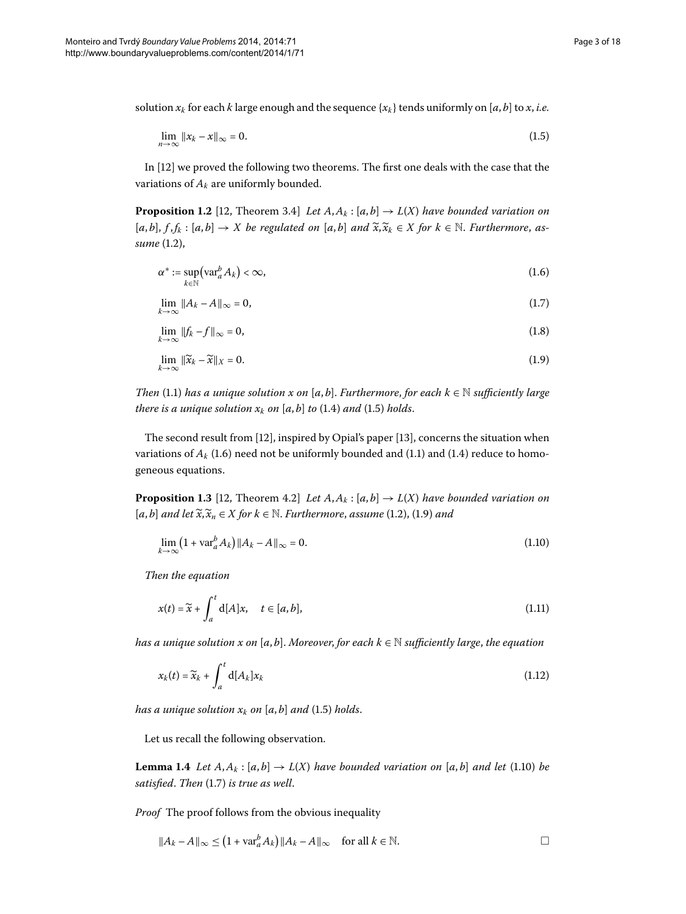solution  $x_k$  for each *k* large enough and the sequence  $\{x_k\}$  tends uniformly on [a, b] to x, *i.e.* 

<span id="page-2-4"></span><span id="page-2-1"></span><span id="page-2-0"></span>
$$
\lim_{n \to \infty} \|x_k - x\|_{\infty} = 0. \tag{1.5}
$$

In [12[\]](#page-16-13) we proved the following two theorems. The first one deals with the case that the variations of  $A_k$  are uniformly bounded.

**Proposition 1.2** [12, Theorem 3.4] *Let*  $A, A_k : [a, b] \rightarrow L(X)$  *have bounded variation on*  $[a,b], f,f_k : [a,b] \to X$  be regulated on  $[a,b]$  and  $\widetilde{x}, \widetilde{x}_k \in X$  for  $k \in \mathbb{N}$ . *Furthermore*, *assume* (1[.](#page-1-2)2),

<span id="page-2-2"></span>
$$
\alpha^* := \sup_{k \in \mathbb{N}} \left( \text{var}_a^b A_k \right) < \infty,\tag{1.6}
$$

$$
\lim_{k \to \infty} \|A_k - A\|_{\infty} = 0,\tag{1.7}
$$

$$
\lim_{k \to \infty} \|f_k - f\|_{\infty} = 0,\tag{1.8}
$$

<span id="page-2-3"></span>
$$
\lim_{k \to \infty} \|\widetilde{x}_k - \widetilde{x}\|_X = 0. \tag{1.9}
$$

*Then* (1.1) *has a unique solution x on* [*a*, *b*]. *Furthermore*, *for each*  $k \in \mathbb{N}$  *sufficiently large there is a unique solution*  $x_k$  *on* [a, b] *to* (1[.](#page-1-1)4) *and* (1.5) *holds*.

The second result from  $[12]$  $[12]$ , inspired by Opial's paper  $[13]$ , concerns the situation when variations of  $A_k$  (1[.](#page-1-0)6) need not be uniformly bounded and (1.1) and (1.4) reduce to homogeneous equations.

**Proposition 1.3** [\[](#page-16-13)12, Theorem 4.2] *Let*  $A, A_k : [a, b] \rightarrow L(X)$  *have bounded variation on*  $[a,b]$  *and let*  $\widetilde{x}, \widetilde{x}_n \in X$  *for*  $k \in \mathbb{N}$ [.](#page-1-2) *Furthermore*, *assume* (1.2), (1.9) *and* 

$$
\lim_{k \to \infty} \left( 1 + \text{var}_a^b A_k \right) \| A_k - A \|_{\infty} = 0. \tag{1.10}
$$

*Then the equation*

$$
x(t) = \widetilde{x} + \int_{a}^{t} d[A]x, \quad t \in [a, b], \tag{1.11}
$$

<span id="page-2-5"></span>*has a unique solution x on* [ $a$ , $b$ ]. *Moreover*, *for each*  $k \in \mathbb{N}$  *sufficiently large*, *the equation* 

$$
x_k(t) = \widetilde{x}_k + \int_a^t \mathbf{d}[A_k] x_k \tag{1.12}
$$

*has a unique solution*  $x_k$  *on* [*a*, *b*] *and* (1[.](#page-2-0)5) *holds*.

Let us recall the following observation.

**Lemma 1.4** Let  $A, A_k : [a, b] \to L(X)$  have bounded variation on [a, b] and let (1.10) be *satisfied[.](#page-2-4) Then* (1.7) *is true as well.* 

*Proof* The proof follows from the obvious inequality

$$
||A_k - A||_{\infty} \le (1 + \operatorname{var}_a^b A_k) ||A_k - A||_{\infty} \quad \text{for all } k \in \mathbb{N}.
$$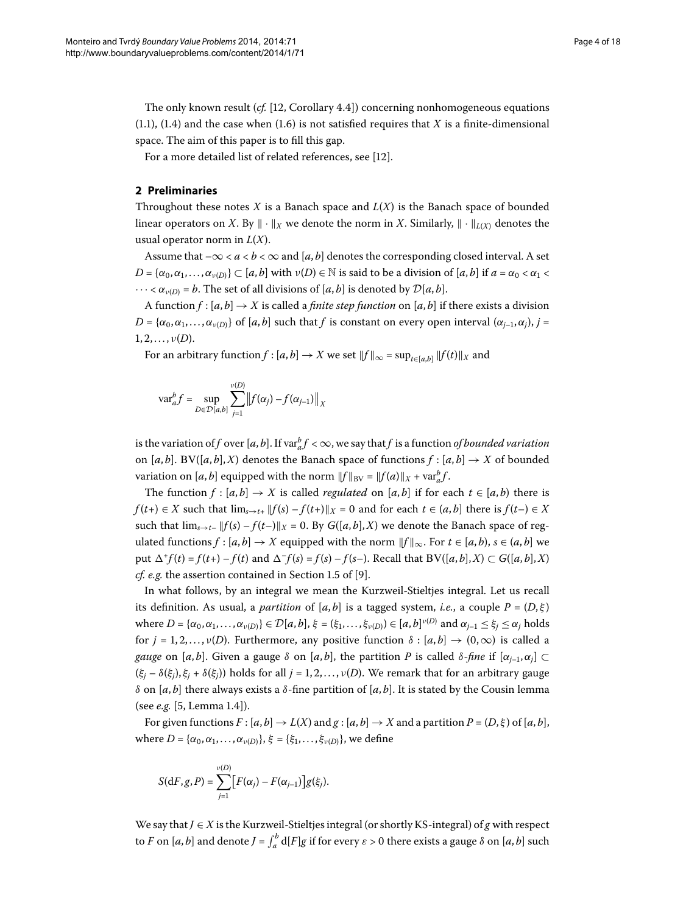The only known result  $(cf. [12, Corollary 4.4])$  $(cf. [12, Corollary 4.4])$  $(cf. [12, Corollary 4.4])$  concerning nonhomogeneous equations  $(1.1)$  $(1.1)$  $(1.1)$ ,  $(1.4)$  and the case when  $(1.6)$  is not satisfied requires that *X* is a finite-dimensional space. The aim of this paper is to fill this gap.

For a more detailed list of related references, see [12[\]](#page-16-13).

## **2 Preliminaries**

Throughout these notes *X* is a Banach space and  $L(X)$  is the Banach space of bounded linear operators on *X*. By  $\|\cdot\|_X$  we denote the norm in *X*. Similarly,  $\|\cdot\|_{L(X)}$  denotes the usual operator norm in *L*(*X*).

Assume that  $-\infty < a < b < \infty$  and [a, b] denotes the corresponding closed interval. A set *D* = { $\alpha_0, \alpha_1, \ldots, \alpha_{\nu(D)}$ } ⊂ [*a*, *b*] with  $\nu(D) \in \mathbb{N}$  is said to be a division of [*a*, *b*] if  $a = \alpha_0 < \alpha_1 <$  $\cdots < \alpha_{\nu(D)} = b$ . The set of all divisions of [*a*, *b*] is denoted by  $\mathcal{D}[a, b]$ .

A function  $f : [a, b] \rightarrow X$  is called a *finite step function* on  $[a, b]$  if there exists a division  $D = {\alpha_0, \alpha_1, \ldots, \alpha_{\nu(D)}}$  of [*a*, *b*] such that *f* is constant on every open interval ( $\alpha_{j-1}, \alpha_j$ ), *j* =  $1, 2, \ldots, \nu(D)$ .

For an arbitrary function  $f$  :  $[a, b] \to X$  we set  $||f||_{\infty} = \sup_{t \in [a, b]} ||f(t)||_X$  and

$$
\text{var}_{a}^{b} f = \sup_{D \in \mathcal{D}[a,b]} \sum_{j=1}^{\nu(D)} \left\| f(\alpha_j) - f(\alpha_{j-1}) \right\|_{X}
$$

is the variation of  $f$  over  $[a, b]$ . If var $_a^b f < \infty$ , we say that  $f$  is a function *of bounded variation* on  $[a, b]$ . BV( $[a, b]$ , *X*) denotes the Banach space of functions  $f : [a, b] \rightarrow X$  of bounded variation on  $[a, b]$  equipped with the norm  $||f||_{BV} = ||f(a)||_X + \text{var}_a^b f$ .

The function  $f : [a, b] \rightarrow X$  is called *regulated* on [ $a, b$ ] if for each  $t \in [a, b)$  there is *f*(*t*+) ∈ *X* such that  $\lim_{s\to t+}$   $||f(s) - f(t+)||_X = 0$  and for each  $t \in (a, b]$  there is  $f(t-) \in X$ such that  $\lim_{s\to t^-} ||f(s) - f(t-)||_X = 0$ . By  $G([a, b], X)$  we denote the Banach space of regulated functions  $f : [a, b] \to X$  equipped with the norm  $||f||_{\infty}$ . For  $t \in [a, b)$ ,  $s \in (a, b]$  we put  $\Delta^+ f(t) = f(t+) - f(t)$  and  $\Delta^- f(s) = f(s) - f(s-)$ . Recall that  $BV([a, b], X) \subset G([a, b], X)$ *cf. e.g.* the assertion contained in Section 1.5 of [\[](#page-16-12)9].

In what follows, by an integral we mean the Kurzweil-Stieltjes integral. Let us recall its definition. As usual, a *partition* of  $[a, b]$  is a tagged system, *i.e.*, a couple  $P = (D, \xi)$ where  $D = {\alpha_0, \alpha_1, ..., \alpha_{\nu(D)}} \in D[a, b], \xi = (\xi_1, ..., \xi_{\nu(D)}) \in [a, b]^{\nu(D)}$  and  $\alpha_{j-1} \leq \xi_j \leq \alpha_j$  holds for  $j = 1, 2, ..., \nu(D)$ . Furthermore, any positive function  $\delta : [a, b] \rightarrow (0, \infty)$  is called a *gauge* on [*a*, *b*]. Given a gauge  $\delta$  on [*a*, *b*], the partition *P* is called  $\delta$ -*fine* if  $[\alpha_{i-1}, \alpha_i] \subset$  $(\xi_i - \delta(\xi_i), \xi_i + \delta(\xi_i))$  holds for all  $j = 1, 2, ..., \nu(D)$ . We remark that for an arbitrary gauge *δ* on [ $a$ ,  $b$ ] there always exists a *δ*-fine partition of [ $a$ ,  $b$ ]. It is stated by the Cousin lemma (see *e.g.* [\[](#page-16-6)5, Lemma 1.4]).

For given functions  $F : [a, b] \to L(X)$  and  $g : [a, b] \to X$  and a partition  $P = (D, \xi)$  of  $[a, b]$ , where *D* = { $α_0$ ,  $α_1$ ,...,  $α_{ν(D)}$ },  $ξ$  = { $ξ_1$ ,...,  $ξ_{ν(D)}$ }, we define

$$
S(\mathrm{d}F,g,P)=\sum_{j=1}^{\nu(D)}[F(\alpha_j)-F(\alpha_{j-1})]g(\xi_j).
$$

We say that *J* ∈ *X* is the Kurzweil-Stieltjes integral (or shortly KS-integral) of *g* with respect to *F* on [*a*, *b*] and denote  $J = \int_{a}^{b} d[F]g$  if for every  $\varepsilon > 0$  there exists a gauge  $\delta$  on [*a*, *b*] such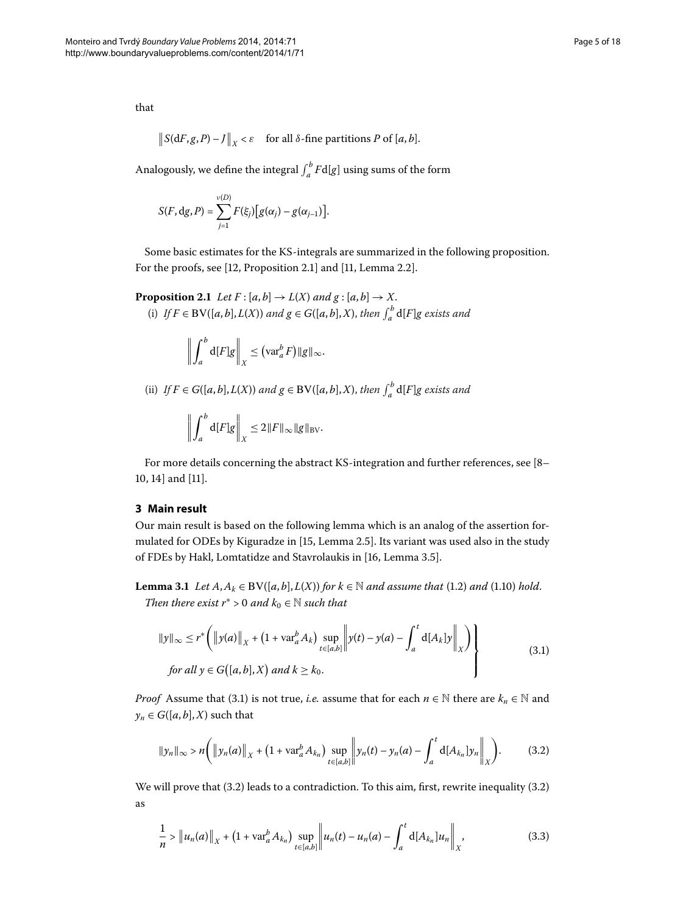that

$$
||S(dF, g, P) - J||_X < \varepsilon
$$
 for all  $\delta$ -fine partitions *P* of [*a*, *b*].

<span id="page-4-3"></span>Analogously, we define the integral  $\int_a^b F d[g]$  using sums of the form

$$
S(F, dg, P) = \sum_{j=1}^{\nu(D)} F(\xi_j) [g(\alpha_j) - g(\alpha_{j-1})].
$$

Some basic estimates for the KS-integrals are summarized in the following proposition. For the proofs, see  $[12,$  $[12,$  Proposition 2.1] and  $[11,$  Lemma 2.2].

**Proposition 2.1** Let  $F$  :  $[a,b] \rightarrow L(X)$  and  $g$  :  $[a,b] \rightarrow X$ . (i) *If*  $F \in BV([a, b], L(X))$  and  $g \in G([a, b], X)$ , then  $\int_a^b d[F]g$  exists and

$$
\left\| \int_a^b \mathrm{d}[F] g \right\|_X \leq \left( \mathrm{var}_a^b F \right) \| g \|_{\infty}.
$$

(ii) *If*  $F \in G([a, b], L(X))$  and  $g \in BV([a, b], X)$ , then  $\int_a^b d[F]g$  exists and

<span id="page-4-0"></span>
$$
\left\| \int_a^b \mathrm{d}[F] g \right\|_X \leq 2 \|F\|_\infty \|g\|_{\text{BV}}.
$$

<span id="page-4-4"></span>For more details concerning the abstract KS-integration and further references, see [\[](#page-16-9)8-10[,](#page-16-10) 14] and [11].

## **3 Main result**

Our main result is based on the following lemma which is an analog of the assertion for-mulated for ODEs by Kiguradze in [15[,](#page-16-16) Lemma 2.5]. Its variant was used also in the study of FDEs by Hakl, Lomtatidze and Stavrolaukis in [16, Lemma 3.5].

**Lemma 3.1** *Let*  $A, A_k \in BV([a, b], L(X))$  *for*  $k \in \mathbb{N}$  *and assume that* (1.2) *and* (1.10) *hold*. *Then there exist*  $r^* > 0$  *and*  $k_0 \in \mathbb{N}$  *such that* 

<span id="page-4-1"></span>
$$
||y||_{\infty} \le r^* \left( \left\| y(a) \right\|_X + (1 + \operatorname{var}_a^b A_k) \sup_{t \in [a,b]} \left\| y(t) - y(a) - \int_a^t \operatorname{d}[A_k] y \right\|_X \right)
$$
  
for all  $y \in G([a,b],X)$  and  $k \ge k_0$ . (3.1)

*Proof* Assume that (3.1) is not true, *i.e.* assume that for each  $n \in \mathbb{N}$  there are  $k_n \in \mathbb{N}$  and  $y_n \in G([a, b], X)$  such that

<span id="page-4-2"></span>
$$
\|y_n\|_{\infty} > n \bigg( \left\|y_n(a)\right\|_X + \big(1 + \text{var}_a^b A_{k_n}\big) \sup_{t \in [a,b]} \left\|y_n(t) - y_n(a) - \int_a^t \text{d}[A_{k_n}] y_n \right\|_X \bigg). \tag{3.2}
$$

We will prove that  $(3.2)$  $(3.2)$  $(3.2)$  leads to a contradiction. To this aim, first, rewrite inequality  $(3.2)$ as

$$
\frac{1}{n} > \|u_n(a)\|_X + (1 + \text{var}_a^b A_{k_n}) \sup_{t \in [a,b]} \|u_n(t) - u_n(a) - \int_a^t \text{d}[A_{k_n}] u_n\|_X, \tag{3.3}
$$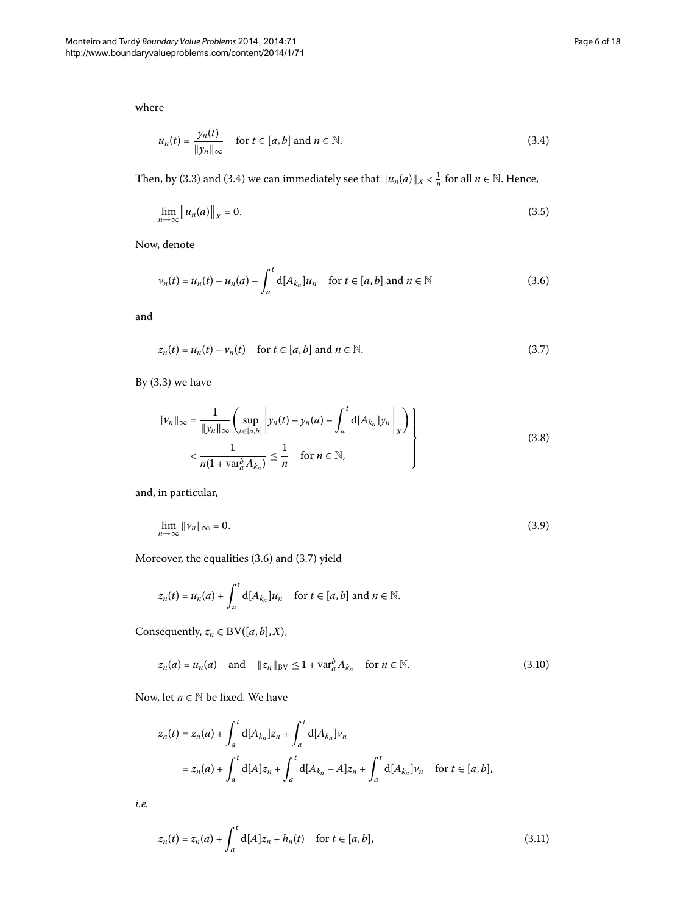where

<span id="page-5-6"></span><span id="page-5-0"></span>
$$
u_n(t) = \frac{y_n(t)}{\|y_n\|_{\infty}} \quad \text{for } t \in [a, b] \text{ and } n \in \mathbb{N}.
$$
 (3.4)

Then, by (3[.](#page-4-2)3) and (3.4) we can immediately see that  $||u_n(a)||_X < \frac{1}{n}$  for all  $n \in \mathbb{N}$ . Hence,

<span id="page-5-1"></span>
$$
\lim_{n \to \infty} \|u_n(a)\|_X = 0. \tag{3.5}
$$

Now, denote

<span id="page-5-2"></span>
$$
\nu_n(t) = u_n(t) - u_n(a) - \int_a^t \mathbf{d}[A_{k_n}] u_n \quad \text{for } t \in [a, b] \text{ and } n \in \mathbb{N}
$$
 (3.6)

and

<span id="page-5-4"></span>
$$
z_n(t) = u_n(t) - v_n(t) \quad \text{for } t \in [a, b] \text{ and } n \in \mathbb{N}.
$$
 (3.7)

By  $(3.3)$  we have

<span id="page-5-7"></span>
$$
\|v_n\|_{\infty} = \frac{1}{\|y_n\|_{\infty}} \left( \sup_{t \in [a,b]} \left\| y_n(t) - y_n(a) - \int_a^t \mathrm{d}[A_{k_n}] y_n \right\|_X \right) \right\}
$$
  

$$
< \frac{1}{n(1 + \mathrm{var}_a^b A_{k_n})} \le \frac{1}{n} \quad \text{for } n \in \mathbb{N},
$$
 (3.8)

and, in particular,

$$
\lim_{n \to \infty} ||v_n||_{\infty} = 0. \tag{3.9}
$$

Moreover, the equalities  $(3.6)$  $(3.6)$  $(3.6)$  and  $(3.7)$  yield

<span id="page-5-3"></span>
$$
z_n(t) = u_n(a) + \int_a^t d[A_{k_n}] u_n \quad \text{for } t \in [a, b] \text{ and } n \in \mathbb{N}.
$$

Consequently,  $z_n \in BV([a, b], X)$ ,

$$
z_n(a) = u_n(a) \quad \text{and} \quad ||z_n||_{BV} \le 1 + \text{var}_a^b A_{k_n} \quad \text{for } n \in \mathbb{N}.
$$

Now, let  $n \in \mathbb{N}$  be fixed. We have

<span id="page-5-5"></span>
$$
z_n(t) = z_n(a) + \int_a^t d[A_{k_n}] z_n + \int_a^t d[A_{k_n}] v_n
$$
  
=  $z_n(a) + \int_a^t d[A] z_n + \int_a^t d[A_{k_n} - A] z_n + \int_a^t d[A_{k_n}] v_n$  for  $t \in [a, b]$ ,

*i.e.*

$$
z_n(t) = z_n(a) + \int_a^t d[A]z_n + h_n(t) \quad \text{for } t \in [a, b],
$$
\n(3.11)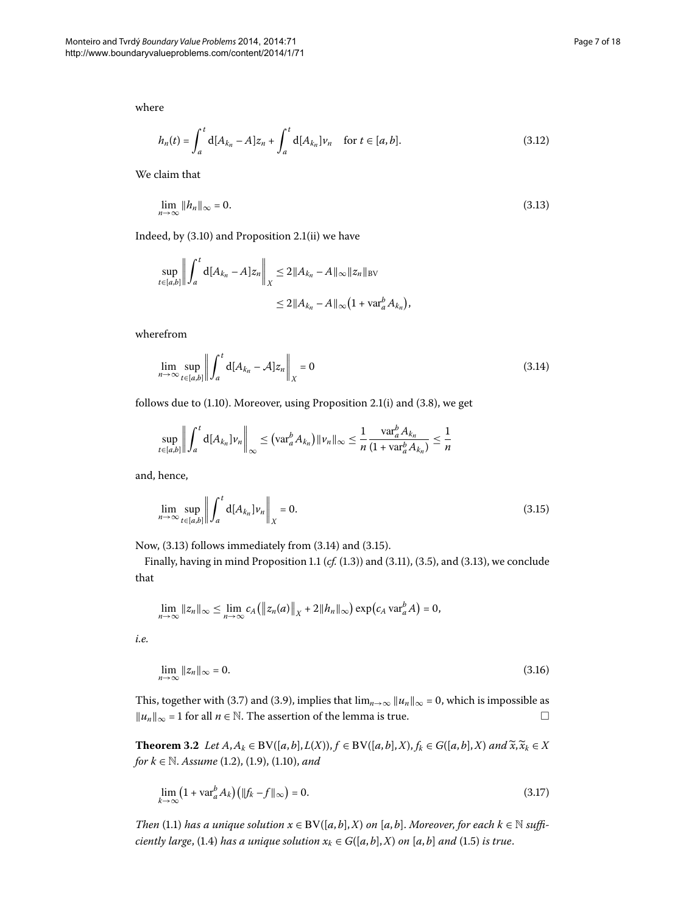where

<span id="page-6-0"></span>
$$
h_n(t) = \int_a^t d[A_{k_n} - A]z_n + \int_a^t d[A_{k_n}]v_n \quad \text{for } t \in [a, b].
$$
 (3.12)

We claim that

$$
\lim_{n \to \infty} \|h_n\|_{\infty} = 0. \tag{3.13}
$$

Indeed, by  $(3.10)$  $(3.10)$  $(3.10)$  and Proposition 2.1(ii) we have

<span id="page-6-1"></span>
$$
\sup_{t \in [a,b]} \left\| \int_a^t d[A_{k_n} - A] z_n \right\|_X \le 2 \|A_{k_n} - A\|_\infty \|z_n\|_{BV}
$$
  

$$
\le 2 \|A_{k_n} - A\|_\infty \left(1 + \text{var}_a^b A_{k_n}\right),
$$

wherefrom

$$
\lim_{n \to \infty} \sup_{t \in [a,b]} \left\| \int_a^t \mathrm{d} [A_{k_n} - A] z_n \right\|_X = 0 \tag{3.14}
$$

follows due to  $(1.10)$  $(1.10)$  $(1.10)$ . Moreover, using Proposition 2.1 $(i)$  and  $(3.8)$ , we get

<span id="page-6-2"></span>
$$
\sup_{t\in[a,b]}\left\|\int_a^t d[A_{k_n}]v_n\right\|_{\infty} \leq \left(\operatorname{var}_a^b A_{k_n}\right) \|v_n\|_{\infty} \leq \frac{1}{n} \frac{\operatorname{var}_a^b A_{k_n}}{(1+\operatorname{var}_a^b A_{k_n})} \leq \frac{1}{n}
$$

and, hence,

$$
\lim_{n \to \infty} \sup_{t \in [a,b]} \left\| \int_a^t \mathrm{d}[A_{k_n}] \nu_n \right\|_X = 0. \tag{3.15}
$$

Now,  $(3.13)$  follows immediately from  $(3.14)$  and  $(3.15)$ .

Finally, having in mind Proposition 1[.](#page-5-5)1 ( $cf.$  (1.3)) and (3.11), (3.5), and (3.13), we conclude that

$$
\lim_{n\to\infty}||z_n||_{\infty}\leq \lim_{n\to\infty}c_A(||z_n(a)||_{X}+2||h_n||_{\infty})\exp\big(c_A\operatorname{var}_a^b A\big)=0,
$$

<span id="page-6-4"></span>*i.e.*

<span id="page-6-3"></span>
$$
\lim_{n \to \infty} \|z_n\|_{\infty} = 0. \tag{3.16}
$$

This, together with (3.7) and (3.9), implies that  $\lim_{n\to\infty} ||u_n||_{\infty} = 0$ , which is impossible as  $||u_n||_{\infty}$  = 1 for all *n* ∈ N. The assertion of the lemma is true.  $□$ 

**Theorem 3.2** Let  $A, A_k \in BV([a, b], L(X)), f \in BV([a, b], X), f_k \in G([a, b], X)$  and  $\widetilde{x}, \widetilde{x}_k \in X$ *for*  $k \in \mathbb{N}$ [.](#page-2-2) *Assume* (1.2), (1.9), (1.10), and

$$
\lim_{k \to \infty} \left( 1 + \text{var}_a^b A_k \right) \left( \| f_k - f \|_{\infty} \right) = 0. \tag{3.17}
$$

*Then* (1.1) has a unique solution  $x \in BV([a, b], X)$  on  $[a, b]$ . *Moreover*, *for each*  $k \in \mathbb{N}$  suffi*ciently large*, (1.4) *has a unique solution*  $x_k \in G([a, b], X)$  *on* [a, *b*] *and* (1.5) *is true*.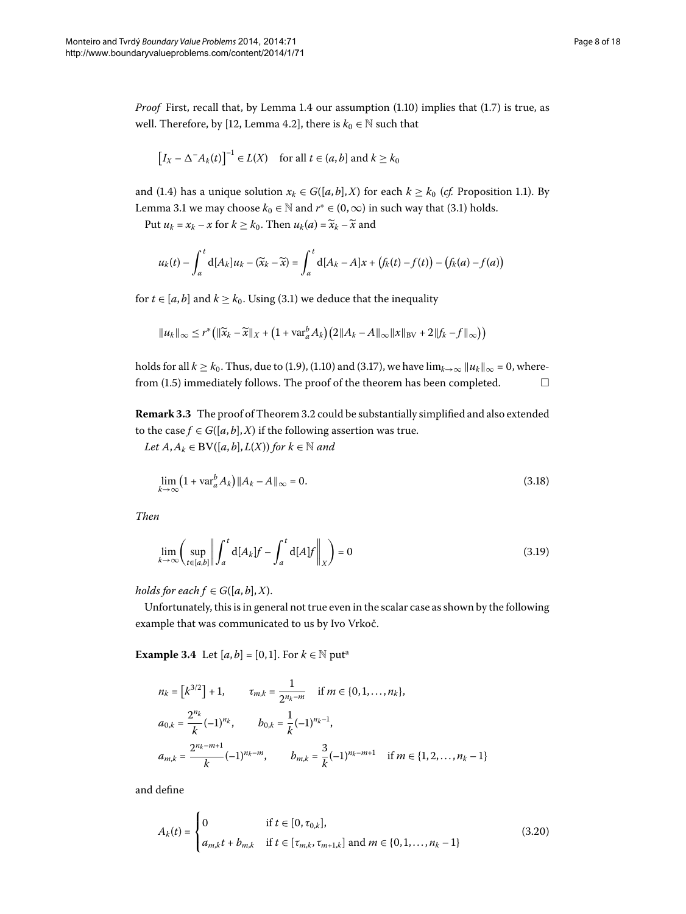*Proof* First, recall that, by Lemma 1[.](#page-2-3)4 our assumption (1.10) implies that (1.7) is true, as well. Therefore[,](#page-16-13) by [12, Lemma 4.2], there is  $k_0 \in \mathbb{N}$  such that

$$
\left[I_X - \Delta^{-}A_k(t)\right]^{-1} \in L(X) \quad \text{for all } t \in (a, b] \text{ and } k \ge k_0
$$

and (1[.](#page-1-3)4) has a unique solution  $x_k \in G([a, b], X)$  for each  $k \ge k_0$  (*cf.* Proposition 1.1). By Lemma 3[.](#page-4-4)1 we may choose  $k_0 \in \mathbb{N}$  and  $r^* \in (0, \infty)$  in such way that (3.1) holds.

Put  $u_k = x_k - x$  for  $k \geq k_0$ . Then  $u_k(a) = \widetilde{x}_k - \widetilde{x}$  and

$$
u_k(t) - \int_a^t d[A_k]u_k - (\widetilde{x}_k - \widetilde{x}) = \int_a^t d[A_k - A]x + (f_k(t) - f(t)) - (f_k(a) - f(a))
$$

for  $t \in [a, b]$  and  $k \ge k_0$ . Using (3.1) we deduce that the inequality

<span id="page-7-0"></span>
$$
||u_k||_{\infty} \leq r^* \big( ||\widetilde{x}_k - \widetilde{x}||_X + \big(1 + \text{var}_a^b A_k\big) \big(2||A_k - A||_{\infty} ||x||_{BV} + 2||f_k - f||_{\infty}\big)\big)
$$

holds for all  $k \geq k_0$ [.](#page-2-3) Thus, due to (1.9), (1.10) and (3.17), we have  $\lim_{k\to\infty} ||u_k||_{\infty} = 0$ , wherefrom  $(1.5)$  immediately follows. The proof of the theorem has been completed.  $\Box$ 

**Remark 3[.](#page-6-4)3** The proof of Theorem 3.2 could be substantially simplified and also extended to the case  $f \in G([a, b], X)$  if the following assertion was true.

*Let*  $A, A_k$  ∈ **B**V([ $a, b$ ],  $L(X)$ ) for  $k \in \mathbb{N}$  and

<span id="page-7-1"></span>
$$
\lim_{k \to \infty} (1 + \text{var}_a^b A_k) \|A_k - A\|_{\infty} = 0.
$$
\n(3.18)

*Then*

$$
\lim_{k \to \infty} \left( \sup_{t \in [a,b]} \left\| \int_a^t \mathrm{d}[A_k] f - \int_a^t \mathrm{d}[A] f \right\|_X \right) = 0 \tag{3.19}
$$

*holds for each*  $f \in G([a, b], X)$ .

Unfortunately, this is in general not true even in the scalar case as shown by the following example that was communicated to us by Ivo Vrkoč.

**Ex[a](#page-16-18)mple 3.4** Let  $[a, b] = [0, 1]$ . For  $k \in \mathbb{N}$  put<sup>a</sup>

<span id="page-7-2"></span>
$$
n_{k} = [k^{3/2}] + 1, \t\t \tau_{m,k} = \frac{1}{2^{n_{k} - m}} \text{ if } m \in \{0, 1, ..., n_{k}\},
$$
  
\n
$$
a_{0,k} = \frac{2^{n_{k}}}{k}(-1)^{n_{k}}, \t b_{0,k} = \frac{1}{k}(-1)^{n_{k} - 1},
$$
  
\n
$$
a_{m,k} = \frac{2^{n_{k} - m + 1}}{k}(-1)^{n_{k} - m}, \t b_{m,k} = \frac{3}{k}(-1)^{n_{k} - m + 1} \text{ if } m \in \{1, 2, ..., n_{k} - 1\}
$$

and define

$$
A_k(t) = \begin{cases} 0 & \text{if } t \in [0, \tau_{0,k}], \\ a_{m,k}t + b_{m,k} & \text{if } t \in [\tau_{m,k}, \tau_{m+1,k}] \text{ and } m \in \{0, 1, ..., n_k - 1\} \end{cases}
$$
(3.20)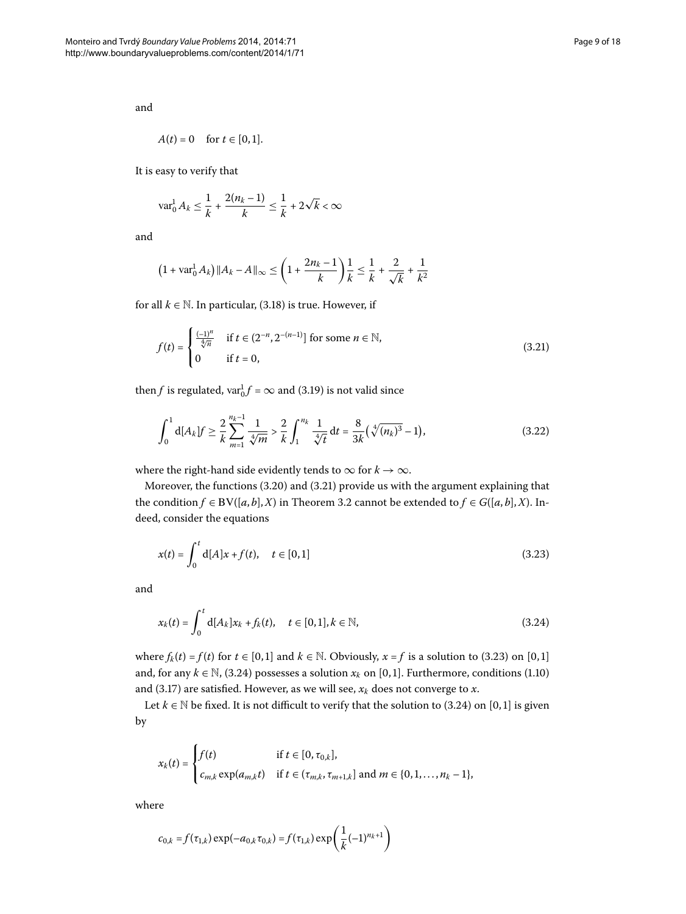and

$$
A(t) = 0 \quad \text{for } t \in [0,1].
$$

It is easy to verify that

$$
\text{var}_0^1 A_k \le \frac{1}{k} + \frac{2(n_k - 1)}{k} \le \frac{1}{k} + 2\sqrt{k} < \infty
$$

and

<span id="page-8-0"></span>
$$
(1 + \text{var}_0^1 A_k) \|A_k - A\|_{\infty} \le \left(1 + \frac{2n_k - 1}{k}\right) \frac{1}{k} \le \frac{1}{k} + \frac{2}{\sqrt{k}} + \frac{1}{k^2}
$$

for all  $k \in \mathbb{N}$ . In particular, (3.18) is true. However, if

<span id="page-8-3"></span>
$$
f(t) = \begin{cases} \frac{(-1)^n}{\sqrt[4]{n}} & \text{if } t \in (2^{-n}, 2^{-(n-1)}) \text{ for some } n \in \mathbb{N}, \\ 0 & \text{if } t = 0, \end{cases}
$$
 (3.21)

then *f* is regulated,  $var_0^1 f = \infty$  and (3[.](#page-7-1)19) is not valid since

<span id="page-8-1"></span>
$$
\int_0^1 d[A_k] f \ge \frac{2}{k} \sum_{m=1}^{n_k - 1} \frac{1}{\sqrt[4]{m}} > \frac{2}{k} \int_1^{n_k} \frac{1}{\sqrt[4]{t}} dt = \frac{8}{3k} (\sqrt[4]{(n_k)^3} - 1), \tag{3.22}
$$

where the right-hand side evidently tends to  $\infty$  for  $k \to \infty$ .

Moreover, the functions  $(3.20)$  and  $(3.21)$  provide us with the argument explaining that the condition *f* ∈ BV([*a*, *b*],*X*) in Theorem 3[.](#page-6-4)2 cannot be extended to *f* ∈ *G*([*a*, *b*],*X*). Indeed, consider the equations

<span id="page-8-2"></span>
$$
x(t) = \int_0^t d[A]x + f(t), \quad t \in [0,1]
$$
\n(3.23)

and

$$
x_k(t) = \int_0^t d[A_k] x_k + f_k(t), \quad t \in [0,1], k \in \mathbb{N},
$$
\n(3.24)

where  $f_k(t) = f(t)$  for  $t \in [0,1]$  and  $k \in \mathbb{N}$ . Obviously,  $x = f$  is a solution to (3.23) on [0,1] and, for any  $k \in \mathbb{N}$ , (3[.](#page-2-3)24) possesses a solution  $x_k$  on [0,1]. Furthermore, conditions (1.10) and (3.17) are satisfied. However, as we will see,  $x_k$  does not converge to  $x$ .

Let  $k \in \mathbb{N}$  be fixed[.](#page-8-2) It is not difficult to verify that the solution to (3.24) on [0,1] is given by

$$
x_k(t) = \begin{cases} f(t) & \text{if } t \in [0, \tau_{0,k}], \\ c_{m,k} \exp(a_{m,k}t) & \text{if } t \in (\tau_{m,k}, \tau_{m+1,k}] \text{ and } m \in \{0, 1, \dots, n_k - 1\}, \end{cases}
$$

where

$$
c_{0,k} = f(\tau_{1,k}) \exp(-a_{0,k} \tau_{0,k}) = f(\tau_{1,k}) \exp\left(\frac{1}{k}(-1)^{n_k+1}\right)
$$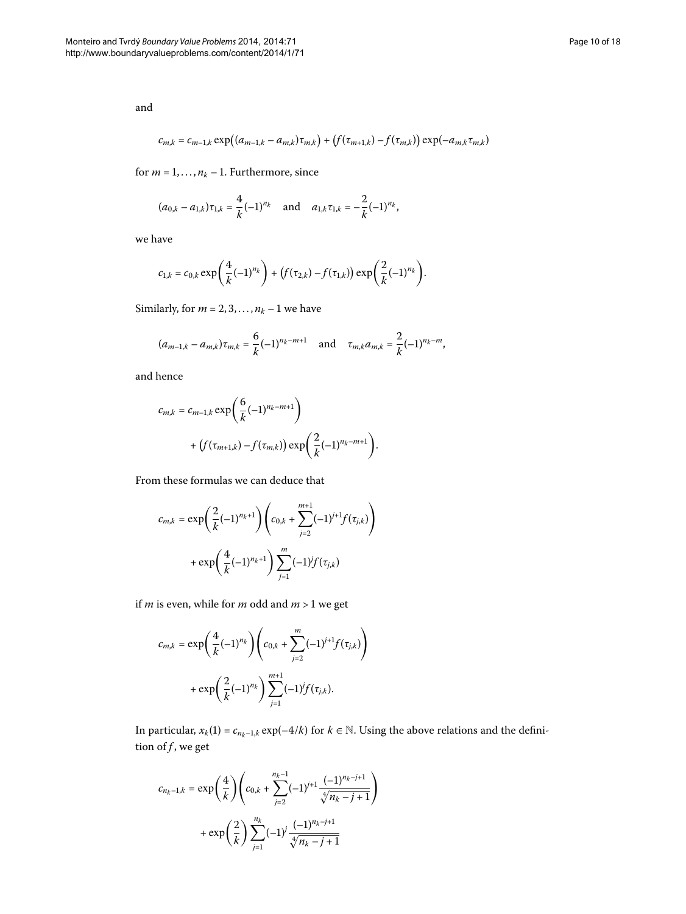and

$$
c_{m,k} = c_{m-1,k} \exp((a_{m-1,k} - a_{m,k})\tau_{m,k}) + (f(\tau_{m+1,k}) - f(\tau_{m,k})) \exp(-a_{m,k}\tau_{m,k})
$$

for  $m = 1, ..., n_k - 1$ . Furthermore, since

$$
(a_{0,k} - a_{1,k})\tau_{1,k} = \frac{4}{k}(-1)^{n_k}
$$
 and  $a_{1,k}\tau_{1,k} = -\frac{2}{k}(-1)^{n_k}$ ,

we have

$$
c_{1,k}=c_{0,k}\exp\bigg(\frac{4}{k}(-1)^{n_k}\bigg)+\big(f(\tau_{2,k})-f(\tau_{1,k})\big)\exp\bigg(\frac{2}{k}(-1)^{n_k}\bigg).
$$

Similarly, for  $m = 2, 3, ..., n_k - 1$  we have

$$
(a_{m-1,k} - a_{m,k})\tau_{m,k} = \frac{6}{k}(-1)^{n_k - m + 1}
$$
 and  $\tau_{m,k}a_{m,k} = \frac{2}{k}(-1)^{n_k - m}$ ,

and hence

$$
c_{m,k} = c_{m-1,k} \exp\left(\frac{6}{k}(-1)^{n_k - m + 1}\right) + (f(\tau_{m+1,k}) - f(\tau_{m,k})) \exp\left(\frac{2}{k}(-1)^{n_k - m + 1}\right).
$$

From these formulas we can deduce that

$$
c_{m,k} = \exp\left(\frac{2}{k}(-1)^{n_k+1}\right) \left(c_{0,k} + \sum_{j=2}^{m+1} (-1)^{j+1} f(\tau_{j,k})\right) + \exp\left(\frac{4}{k}(-1)^{n_k+1}\right) \sum_{j=1}^{m} (-1)^j f(\tau_{j,k})
$$

if  $m$  is even, while for  $m$  odd and  $m > 1$  we get

$$
\begin{aligned} c_{m,k} = \exp\biggl(\frac{4}{k}(-1)^{n_k}\biggr) \Biggl(c_{0,k} + \sum_{j=2}^m (-1)^{j+1} f(\tau_{j,k})\Biggr) \\ + \exp\biggl(\frac{2}{k}(-1)^{n_k}\biggr) \sum_{j=1}^{m+1} (-1)^j f(\tau_{j,k}). \end{aligned}
$$

In particular,  $x_k(1) = c_{n_k-1,k} \exp(-4/k)$  for  $k \in \mathbb{N}$ . Using the above relations and the definition of *f*, we get

$$
\begin{aligned} c_{n_k-1,k} = \exp\biggl(\frac{4}{k}\biggr) \Biggl(c_{0,k} + \sum_{j=2}^{n_k-1} (-1)^{j+1} \frac{(-1)^{n_k-j+1}}{\sqrt[4]{n_k-j+1}} \Biggr) \\ + \exp\biggl(\frac{2}{k}\biggr) \sum_{j=1}^{n_k} (-1)^j \frac{(-1)^{n_k-j+1}}{\sqrt[4]{n_k-j+1}} \end{aligned}
$$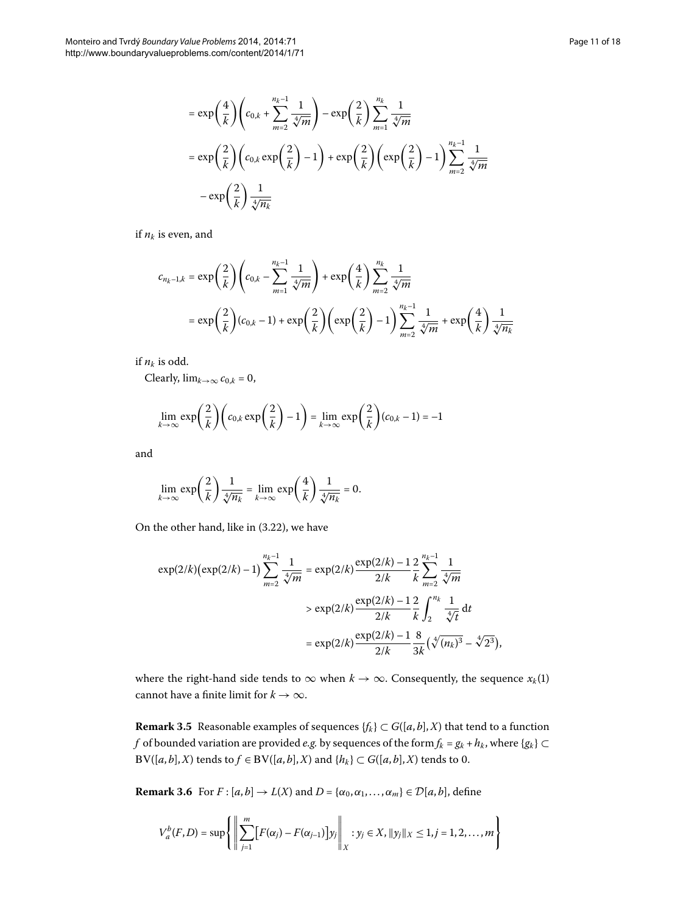$$
= \exp\left(\frac{4}{k}\right) \left(c_{0,k} + \sum_{m=2}^{n_k - 1} \frac{1}{\sqrt[4]{m}}\right) - \exp\left(\frac{2}{k}\right) \sum_{m=1}^{n_k} \frac{1}{\sqrt[4]{m}}
$$
  

$$
= \exp\left(\frac{2}{k}\right) \left(c_{0,k} \exp\left(\frac{2}{k}\right) - 1\right) + \exp\left(\frac{2}{k}\right) \left(\exp\left(\frac{2}{k}\right) - 1\right) \sum_{m=2}^{n_k - 1} \frac{1}{\sqrt[4]{m}}
$$
  

$$
- \exp\left(\frac{2}{k}\right) \frac{1}{\sqrt[4]{n_k}}
$$

if  $n_k$  is even, and

$$
c_{n_k-1,k} = \exp\left(\frac{2}{k}\right) \left(c_{0,k} - \sum_{m=1}^{n_k-1} \frac{1}{\sqrt[4]{m}}\right) + \exp\left(\frac{4}{k}\right) \sum_{m=2}^{n_k} \frac{1}{\sqrt[4]{m}}
$$
  
= 
$$
\exp\left(\frac{2}{k}\right) (c_{0,k} - 1) + \exp\left(\frac{2}{k}\right) \left(\exp\left(\frac{2}{k}\right) - 1\right) \sum_{m=2}^{n_k-1} \frac{1}{\sqrt[4]{m}} + \exp\left(\frac{4}{k}\right) \frac{1}{\sqrt[4]{n_k}}
$$

if  $n_k$  is odd.

Clearly,  $\lim_{k\to\infty} c_{0,k} = 0$ ,

$$
\lim_{k \to \infty} \exp\left(\frac{2}{k}\right) \left(c_{0,k} \exp\left(\frac{2}{k}\right) - 1\right) = \lim_{k \to \infty} \exp\left(\frac{2}{k}\right) (c_{0,k} - 1) = -1
$$

and

$$
\lim_{k \to \infty} \exp\left(\frac{2}{k}\right) \frac{1}{\sqrt[4]{n_k}} = \lim_{k \to \infty} \exp\left(\frac{4}{k}\right) \frac{1}{\sqrt[4]{n_k}} = 0.
$$

On the other hand, like in  $(3.22)$  $(3.22)$  $(3.22)$ , we have

$$
\exp(2/k)(\exp(2/k) - 1) \sum_{m=2}^{n_k - 1} \frac{1}{\sqrt[4]{m}} = \exp(2/k) \frac{\exp(2/k) - 1}{2/k} \frac{2}{k} \sum_{m=2}^{n_k - 1} \frac{1}{\sqrt[4]{m}}
$$
  
> 
$$
\exp(2/k) \frac{\exp(2/k) - 1}{2/k} \frac{2}{k} \int_{2}^{n_k} \frac{1}{\sqrt[4]{t}} dt
$$
  
= 
$$
\exp(2/k) \frac{\exp(2/k) - 1}{2/k} \frac{8}{3k} (\sqrt[4]{(n_k)^3} - \sqrt[4]{2^3}),
$$

where the right-hand side tends to  $\infty$  when  $k \to \infty$ . Consequently, the sequence  $x_k(1)$ cannot have a finite limit for  $k \to \infty$ .

**Remark 3.5** Reasonable examples of sequences  ${f_k} \subset G([a, b], X)$  that tend to a function *f* of bounded variation are provided *e.g.* by sequences of the form  $f_k = g_k + h_k$ , where { $g_k$ } ⊂ BV([ $a$ , $b$ ], $X$ ) tends to  $f \in BV([a, b], X)$  and  $\{h_k\} \subset G([a, b], X)$  tends to 0.

**Remark 3.6** For  $F : [a, b] \rightarrow L(X)$  and  $D = \{\alpha_0, \alpha_1, \ldots, \alpha_m\} \in \mathcal{D}[a, b]$ , define

$$
V_a^b(F,D) = \sup \left\{ \left\| \sum_{j=1}^m [F(\alpha_j) - F(\alpha_{j-1})] y_j \right\|_X : y_j \in X, ||y_j||_X \le 1, j = 1,2,\ldots,m \right\}
$$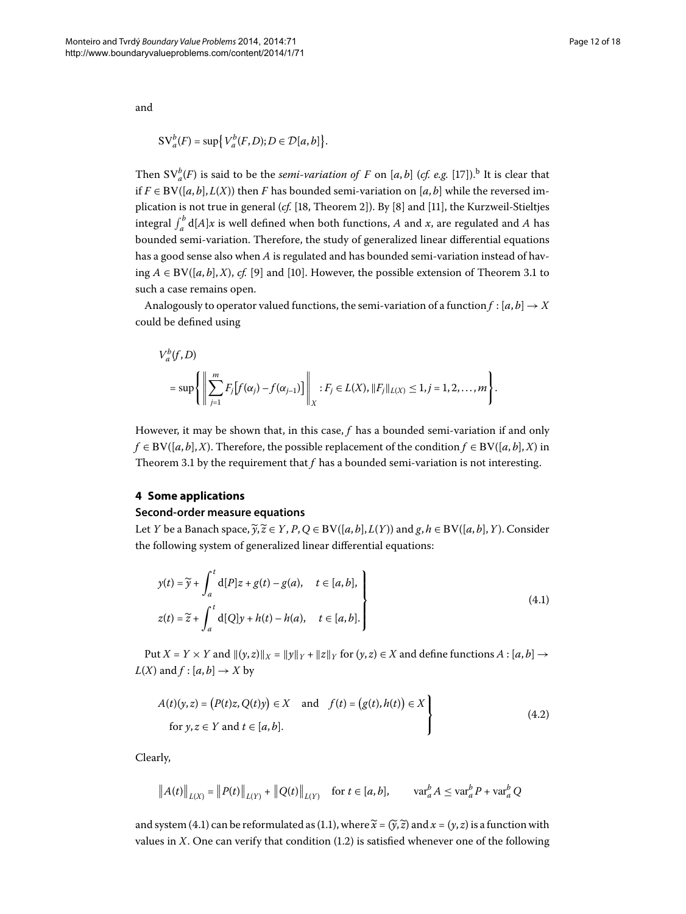and

$$
SV_a^b(F) = \sup \{V_a^b(F,D); D \in \mathcal{D}[a,b]\}.
$$

Then  $SV_a^b(F)$  $SV_a^b(F)$  $SV_a^b(F)$  is said to be the *semi-variation of* F on [a, b] (cf. e.g. [17]).<sup>b</sup> It is clear that if *F* ∈ BV([*a*, *b*], *L*(*X*)) then *F* has bounded semi-variation on [*a*, *b*] while the reversed implication is not true in general (*cf.* [18[,](#page-16-21) Theorem 2[\]](#page-16-11)). By [8] and [11], the Kurzweil-Stieltjes integral  $\int_a^b$  d[*A*]*x* is well defined when both functions, *A* and *x*, are regulated and *A* has bounded semi-variation. Therefore, the study of generalized linear differential equations has a good sense also when *A* is regulated and has bounded semi-variation instead of having  $A \in BV([a, b], X)$  $A \in BV([a, b], X)$  $A \in BV([a, b], X)$ , *cf[.](#page-4-4)* [9] and [10]. However, the possible extension of Theorem 3.1 to such a case remains open.

Analogously to operator valued functions, the semi-variation of a function  $f : [a, b] \rightarrow X$ could be defined using

$$
V_a^b(f, D)
$$
  
= sup  $\left\{ \left\| \sum_{j=1}^m F_j[f(\alpha_j) - f(\alpha_{j-1})] \right\|_X : F_j \in L(X), ||F_j||_{L(X)} \leq 1, j = 1, 2, ..., m \right\}.$ 

However, it may be shown that, in this case, *f* has a bounded semi-variation if and only *f* ∈ BV([*a*, *b*],*X*). Therefore, the possible replacement of the condition *f* ∈ BV([*a*, *b*],*X*) in Theorem 3[.](#page-4-4)1 by the requirement that  $f$  has a bounded semi-variation is not interesting.

## **4 Some applications**

## **Second-order measure equations**

Let *Y* be a Banach space,  $\widetilde{y}, \widetilde{z} \in Y$ ,  $P$ ,  $Q \in BV([a, b], L(Y))$  and  $g, h \in BV([a, b], Y)$ . Consider the following system of generalized linear differential equations:

<span id="page-11-1"></span><span id="page-11-0"></span>
$$
y(t) = \widetilde{y} + \int_{a}^{t} d[P]z + g(t) - g(a), \quad t \in [a, b],
$$
  
\n
$$
z(t) = \widetilde{z} + \int_{a}^{t} d[Q]y + h(t) - h(a), \quad t \in [a, b].
$$
\n(4.1)

Put *X* = *Y* × *Y* and  $\|(y, z)\|_X = \|y\|_Y + \|z\|_Y$  for  $(y, z) \in X$  and define functions  $A : [a, b] \rightarrow$ *L*(*X*) and  $f$  : [ $a$ ,  $b$ ]  $\rightarrow$  *X* by

$$
A(t)(y, z) = (P(t)z, Q(t)y) \in X \text{ and } f(t) = (g(t), h(t)) \in X
$$
  
for  $y, z \in Y$  and  $t \in [a, b].$  (4.2)

Clearly,

$$
||A(t)||_{L(X)} = ||P(t)||_{L(Y)} + ||Q(t)||_{L(Y)}
$$
 for  $t \in [a, b]$ ,  $var_a^b A \leq var_a^b P + var_a^b Q$ 

and system (4[.](#page-1-0)1) can be reformulated as (1.1), where  $\widetilde{x} = (\widetilde{y}, \widetilde{z})$  and  $x = (y, z)$  is a function with values in  $X$ [.](#page-1-2) One can verify that condition  $(1.2)$  is satisfied whenever one of the following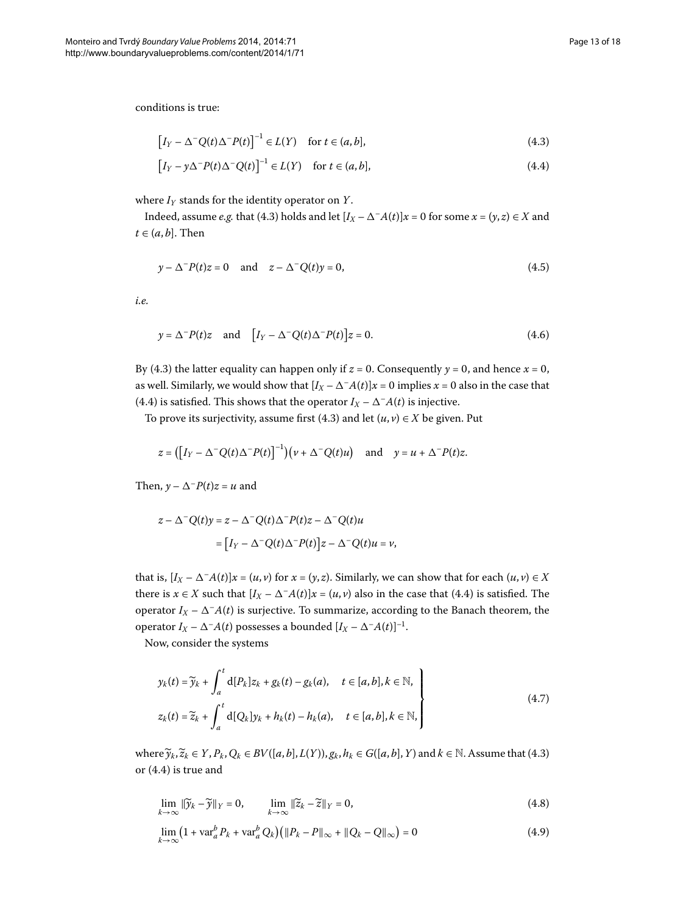conditions is true:

<span id="page-12-1"></span><span id="page-12-0"></span>
$$
\left[I_Y - \Delta^{-}Q(t)\Delta^{-}P(t)\right]^{-1} \in L(Y) \quad \text{for } t \in (a, b],\tag{4.3}
$$

$$
\left[I_Y - y\Delta^{-}P(t)\Delta^{-}Q(t)\right]^{-1} \in L(Y) \quad \text{for } t \in (a, b],\tag{4.4}
$$

where *IY* stands for the identity operator on *Y*.

Indeed, assume *e.g.* that (4.3) holds and let  $[I_X - \Delta^{-}A(t)]x = 0$  for some  $x = (y, z) \in X$  and  $t \in (a, b]$ . Then

$$
y - \Delta^{-}P(t)z = 0 \quad \text{and} \quad z - \Delta^{-}Q(t)y = 0,
$$
\n
$$
(4.5)
$$

*i.e.*

$$
y = \Delta^{-} P(t) z \quad \text{and} \quad \left[ I_Y - \Delta^{-} Q(t) \Delta^{-} P(t) \right] z = 0. \tag{4.6}
$$

By (4[.](#page-12-0)3) the latter equality can happen only if  $z = 0$ . Consequently  $y = 0$ , and hence  $x = 0$ , as well. Similarly, we would show that  $[I_X - \Delta^{-}A(t)]x = 0$  implies  $x = 0$  also in the case that (4.4) is satisfied. This shows that the operator  $I_X - \Delta^- A(t)$  is injective.

To prove its surjectivity, assume first (4.3) and let  $(u, v) \in X$  be given. Put

$$
z = (\big[ I_Y - \Delta^- Q(t) \Delta^- P(t) \big]^{-1} \big) \big( v + \Delta^- Q(t) u \big) \quad \text{and} \quad y = u + \Delta^- P(t) z.
$$

Then,  $y - \Delta^{-}P(t)z = u$  and

<span id="page-12-3"></span>
$$
z - \Delta^{-} Q(t) y = z - \Delta^{-} Q(t) \Delta^{-} P(t) z - \Delta^{-} Q(t) u
$$

$$
= [I_Y - \Delta^{-} Q(t) \Delta^{-} P(t)] z - \Delta^{-} Q(t) u = v,
$$

that is,  $[I_X - \Delta^{-}A(t)]x = (u, v)$  for  $x = (y, z)$ . Similarly, we can show that for each  $(u, v) \in X$ there is  $x \in X$  such that  $[I_X - \Delta^{-}A(t)]x = (u, v)$  also in the case that (4.4) is satisfied. The operator  $I_X - \Delta^- A(t)$  is surjective. To summarize, according to the Banach theorem, the operator  $I_X - \Delta^- A(t)$  possesses a bounded  $[I_X - \Delta^- A(t)]^{-1}$ .

Now, consider the systems

<span id="page-12-2"></span>
$$
y_k(t) = \widetilde{y}_k + \int_a^t d[P_k] z_k + g_k(t) - g_k(a), \quad t \in [a, b], k \in \mathbb{N},
$$
  

$$
z_k(t) = \widetilde{z}_k + \int_a^t d[Q_k] y_k + h_k(t) - h_k(a), \quad t \in [a, b], k \in \mathbb{N},
$$
 (4.7)

 $\text{where } \widetilde{\mathbf{y}}_k, \widetilde{\mathbf{z}}_k \in Y, P_k, Q_k \in BV([a, b], L(Y)), g_k, h_k \in G([a, b], Y) \text{ and } k \in \mathbb{N}. \text{ Assume that (4.3)}$  $\text{where } \widetilde{\mathbf{y}}_k, \widetilde{\mathbf{z}}_k \in Y, P_k, Q_k \in BV([a, b], L(Y)), g_k, h_k \in G([a, b], Y) \text{ and } k \in \mathbb{N}. \text{ Assume that (4.3)}$  $\text{where } \widetilde{\mathbf{y}}_k, \widetilde{\mathbf{z}}_k \in Y, P_k, Q_k \in BV([a, b], L(Y)), g_k, h_k \in G([a, b], Y) \text{ and } k \in \mathbb{N}. \text{ Assume that (4.3)}$ or  $(4.4)$  is true and

$$
\lim_{k \to \infty} \|\widetilde{y}_k - \widetilde{y}\|_Y = 0, \qquad \lim_{k \to \infty} \|\widetilde{z}_k - \widetilde{z}\|_Y = 0,
$$
\n(4.8)

$$
\lim_{k \to \infty} \left( 1 + \text{var}_a^b P_k + \text{var}_a^b Q_k \right) \left( \| P_k - P \|_{\infty} + \| Q_k - Q \|_{\infty} \right) = 0 \tag{4.9}
$$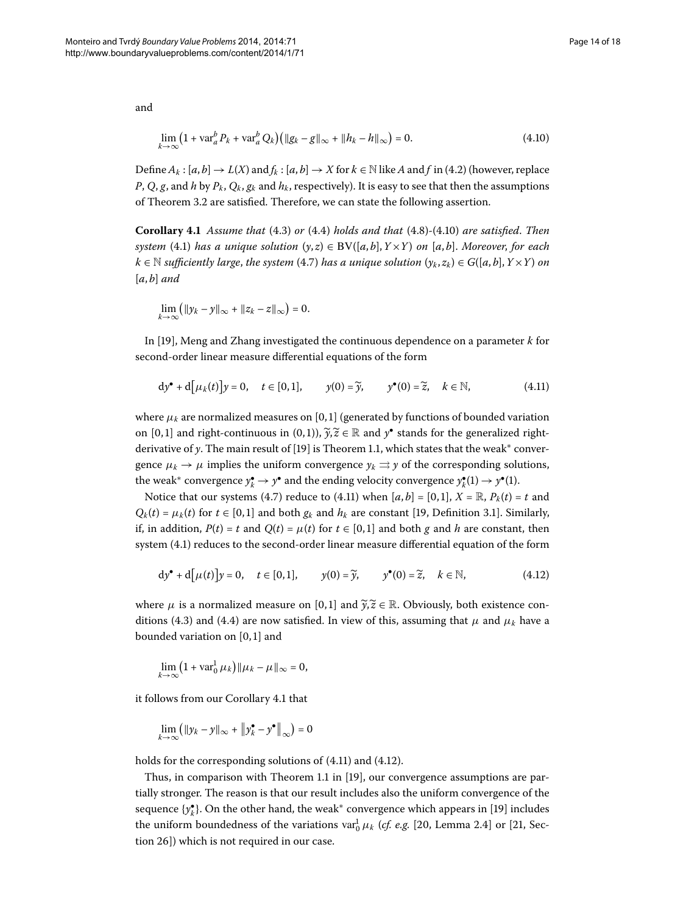<span id="page-13-0"></span>
$$
\lim_{k \to \infty} \left( 1 + \text{var}_a^b P_k + \text{var}_a^b Q_k \right) \left( \|g_k - g\|_{\infty} + \|h_k - h\|_{\infty} \right) = 0. \tag{4.10}
$$

Define  $A_k$ :  $[a, b] \to L(X)$  and  $f_k$ :  $[a, b] \to X$  for  $k \in \mathbb{N}$  like *A* and *f* in (4[.](#page-11-1)2) (however, replace *P*, *Q*, *g*, and *h* by  $P_k$ ,  $Q_k$ ,  $g_k$  and  $h_k$ , respectively). It is easy to see that then the assumptions of Theorem 3[.](#page-6-4)2 are satisfied. Therefore, we can state the following assertion.

**Corollary 4[.](#page-12-2)1** Assume that (4.3) or (4.4) holds and that (4.8)-(4.10) are satisfied. Then *system* (4.1) *has a unique solution*  $(y, z) \in BV([a, b], Y \times Y)$  *on* [a, b]. Moreover, for each  $k \in \mathbb{N}$  *sufficiently large, the system* (4[.](#page-12-3)7) *has a unique solution*  $(y_k, z_k) \in G([a, b], Y \times Y)$  *on*  $[a, b]$  *and* 

<span id="page-13-1"></span>
$$
\lim_{k\to\infty} \left( \|y_k - y\|_{\infty} + \|z_k - z\|_{\infty} \right) = 0.
$$

In [[\]](#page-17-0), Meng and Zhang investigated the continuous dependence on a parameter *k* for second-order linear measure differential equations of the form

<span id="page-13-3"></span>
$$
dy^{\bullet} + d[\mu_k(t)]y = 0, \quad t \in [0,1], \qquad y(0) = \widetilde{y}, \qquad y^{\bullet}(0) = \widetilde{z}, \quad k \in \mathbb{N}, \tag{4.11}
$$

where  $\mu_k$  are normalized measures on [0,1] (generated by functions of bounded variation on [0,1] and right-continuous in (0,1)),  $\widetilde{y}, \widetilde{z} \in \mathbb{R}$  and  $y^{\bullet}$  stands for the generalized rightderivative of *y*. The main result of [19[\]](#page-17-0) is Theorem 1.1, which states that the weak<sup>\*</sup> convergence  $\mu_k \to \mu$  implies the uniform convergence  $\gamma_k \rightrightarrows \gamma$  of the corresponding solutions, the weak $^*$  convergence  $y_k^{\bullet} \to y^{\bullet}$  and the ending velocity convergence  $y_k^{\bullet}(1) \to y^{\bullet}(1)$ .

Notice that our systems (4[.](#page-12-3)7) reduce to (4.11) when  $[a, b] = [0, 1]$ ,  $X = \mathbb{R}$ ,  $P_k(t) = t$  and  $Q_k(t) = \mu_k(t)$  for  $t \in [0,1]$  $t \in [0,1]$  $t \in [0,1]$  and both  $g_k$  and  $h_k$  are constant [19, Definition 3.1]. Similarly, if, in addition,  $P(t) = t$  and  $Q(t) = \mu(t)$  for  $t \in [0,1]$  and both *g* and *h* are constant, then system  $(4.1)$  reduces to the second-order linear measure differential equation of the form

$$
dy^{\bullet} + d[\mu(t)]y = 0, \quad t \in [0,1], \qquad y(0) = \widetilde{y}, \qquad y^{\bullet}(0) = \widetilde{z}, \quad k \in \mathbb{N}, \tag{4.12}
$$

where  $\mu$  is a normalized measure on [0,1] and  $\tilde{y}, \tilde{z} \in \mathbb{R}$ . Obviously, both existence con-ditions (4[.](#page-12-0)3) and (4.4) are now satisfied. In view of this, assuming that  $\mu$  and  $\mu_k$  have a bounded variation on  $[0, 1]$  and

$$
\lim_{k\to\infty}\left(1+\text{var}_0^1\,\mu_k\right)\|\mu_k-\mu\|_{\infty}=0,
$$

it follows from our Corollary 4[.](#page-13-2)1 that

$$
\lim_{k \to \infty} \left( \|y_k - y\|_{\infty} + \left\|y_k^{\bullet} - y^{\bullet}\right\|_{\infty} \right) = 0
$$

holds for the corresponding solutions of  $(4.11)$  and  $(4.12)$ .

Thus, in comparison with Theorem 1.1 in [19], our convergence assumptions are partially stronger. The reason is that our result includes also the uniform convergence of the sequence {y **\***}. On the other hand, the weak\* convergence which appears in [19[\]](#page-17-0) includes the uniform boundedness of the variations  $\text{var}_0^1 \mu_k$  (*cf. e.g.* [20, Lemma 2.4] or [21, Section 26]) which is not required in our case.

<span id="page-13-2"></span>and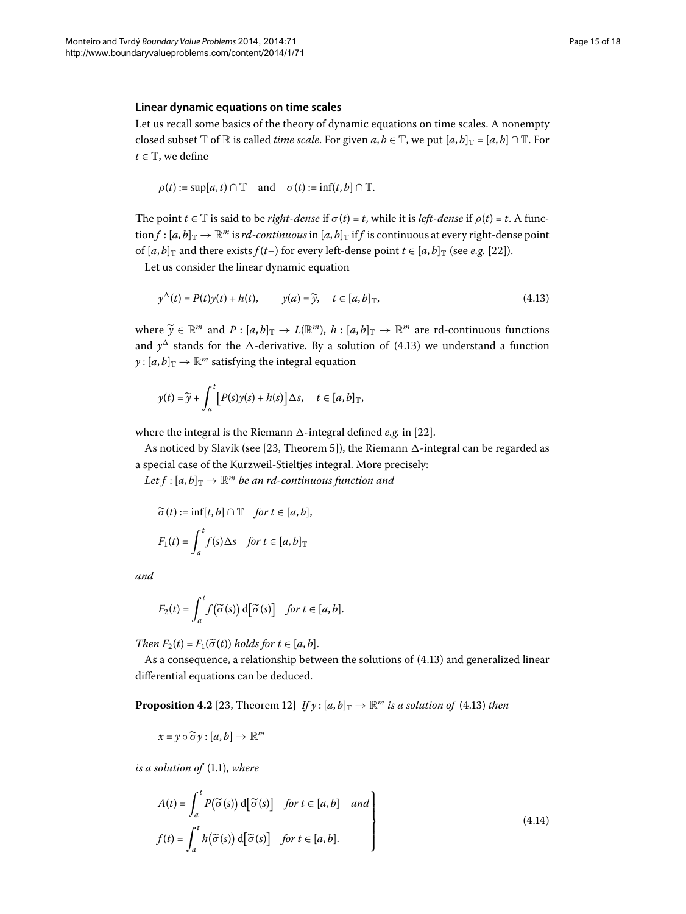### **Linear dynamic equations on time scales**

Let us recall some basics of the theory of dynamic equations on time scales. A nonempty closed subset  $\mathbb T$  of  $\mathbb R$  is called *time scale*. For given  $a, b \in \mathbb T$ , we put  $[a, b]_{\mathbb T} = [a, b] \cap \mathbb T$ . For  $t \in \mathbb{T}$ , we define

<span id="page-14-0"></span>
$$
\rho(t) := \sup[a, t) \cap \mathbb{T} \quad \text{and} \quad \sigma(t) := \inf(t, b] \cap \mathbb{T}.
$$

The point  $t \in \mathbb{T}$  is said to be *right-dense* if  $\sigma(t) = t$ , while it is *left-dense* if  $\rho(t) = t$ . A func- $\text{tion } f : [a, b]_{\mathbb{T}} \to \mathbb{R}^m$  is *rd-continuous* in  $[a, b]_{\mathbb{T}}$  if *f* is continuous at every right-dense point of  $[a, b]_{\mathbb{T}}$  and there exists  $f(t-)$  for every left-dense point  $t \in [a, b]_{\mathbb{T}}$  (see *e.g.* [22]).

Let us consider the linear dynamic equation

$$
y^{\Delta}(t) = P(t)y(t) + h(t), \qquad y(a) = \widetilde{y}, \quad t \in [a, b]_{\mathbb{T}}, \tag{4.13}
$$

where  $\widetilde{y} \in \mathbb{R}^m$  and  $P : [a, b]_{\mathbb{T}} \to L(\mathbb{R}^m)$ ,  $h : [a, b]_{\mathbb{T}} \to \mathbb{R}^m$  are rd-continuous functions and  $y^{\Delta}$  stands for the  $\Delta$ -derivative. By a solution of (4.13) we understand a function  $y$  : [ $a$ , $b$ ] $\text{T}$   $\rightarrow$   $\mathbb{R}$ <sup>*m*</sup> satisfying the integral equation

$$
y(t) = \widetilde{y} + \int_a^t [P(s)y(s) + h(s)] \Delta s, \quad t \in [a, b]_{\mathbb{T}},
$$

where the integral is the Riemann  $\Delta$ -integral defined *e.g.* in [22[\]](#page-17-3).

As noticed by Slavík (see [23[,](#page-17-4) Theorem 5]), the Riemann  $\Delta$ -integral can be regarded as a special case of the Kurzweil-Stieltjes integral. More precisely:

*Let*  $f$  :  $[a,b]_{\mathbb{T}} \to \mathbb{R}^m$  *be an rd-continuous function and* 

$$
\widetilde{\sigma}(t) := \inf[t, b] \cap \mathbb{T} \quad \text{for } t \in [a, b],
$$
\n
$$
F_1(t) = \int_a^t f(s) \Delta s \quad \text{for } t \in [a, b]_{\mathbb{T}}
$$

*and*

<span id="page-14-2"></span>
$$
F_2(t) = \int_a^t f(\widetilde{\sigma}(s)) d[\widetilde{\sigma}(s)] \quad \text{for } t \in [a, b].
$$

*Then*  $F_2(t) = F_1(\widetilde{\sigma}(t))$  *holds for*  $t \in [a, b]$ .

As a consequence, a relationship between the solutions of  $(4.13)$  and generalized linear differential equations can be deduced.

**Proposition 4.2** [\[](#page-17-4)23, Theorem 12] *If y* :  $[a, b]_T \rightarrow \mathbb{R}^m$  *is a solution of* (4.13) *then* 

<span id="page-14-1"></span>
$$
x = y \circ \widetilde{\sigma} y : [a, b] \to \mathbb{R}^m
$$

*is a solution of* (1.1), where

$$
A(t) = \int_{a}^{t} P(\tilde{\sigma}(s)) d[\tilde{\sigma}(s)] \quad \text{for } t \in [a, b] \quad \text{and}
$$
\n
$$
f(t) = \int_{a}^{t} h(\tilde{\sigma}(s)) d[\tilde{\sigma}(s)] \quad \text{for } t \in [a, b].
$$
\n(4.14)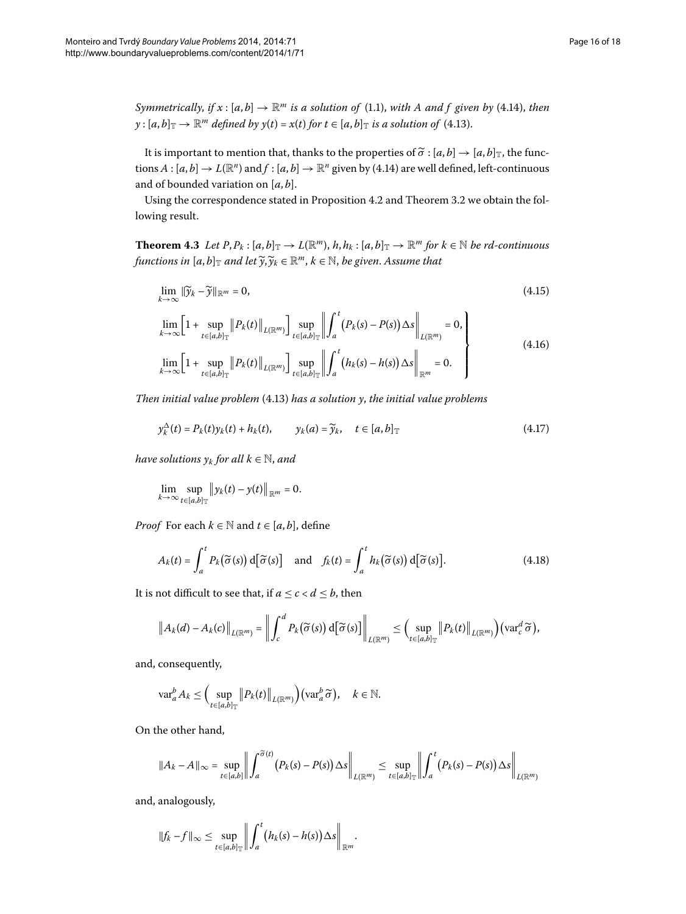*Symmetrically, if*  $x$  :  $[a, b] \rightarrow \mathbb{R}^m$  *is a solution of* (1[.](#page-1-0)1), *with A and f* given by (4.14), *then*  $y$  :  $[a,b]_{\mathbb{T}} \to \mathbb{R}^m$  *defined by*  $y(t) = x(t)$  *for*  $t \in [a,b]_{\mathbb{T}}$  *is a solution of* (4[.](#page-14-0)13).

<span id="page-15-3"></span>It is important to mention that, thanks to the properties of  $\widetilde{\sigma}$  :  $[a, b] \rightarrow [a, b]$ <sub>T</sub>, the functions  $A : [a, b] \to L(\mathbb{R}^n)$  and  $f : [a, b] \to \mathbb{R}^n$  given by (4[.](#page-14-1)14) are well defined, left-continuous and of bounded variation on [*a*, *b*].

Using the correspondence stated in Proposition 4[.](#page-6-4)2 and Theorem 3.2 we obtain the following result.

**Theorem 4.3** Let  $P, P_k : [a, b]_{\mathbb{T}} \to L(\mathbb{R}^m)$ ,  $h, h_k : [a, b]_{\mathbb{T}} \to \mathbb{R}^m$  for  $k \in \mathbb{N}$  be rd-continuous functions in  $[a, b]_{\mathbb{T}}$  and let  $\widetilde{y}, \widetilde{y}_k \in \mathbb{R}^m$ ,  $k \in \mathbb{N}$ , be given. Assume that

<span id="page-15-1"></span><span id="page-15-0"></span>
$$
\lim_{k \to \infty} \|\widetilde{\mathbf{y}}_k - \widetilde{\mathbf{y}}\|_{\mathbb{R}^m} = 0,\tag{4.15}
$$

<span id="page-15-2"></span>
$$
\lim_{k \to \infty} \left[ 1 + \sup_{t \in [a,b]_{\mathbb{T}}} \| P_k(t) \|_{L(\mathbb{R}^m)} \right] \sup_{t \in [a,b]_{\mathbb{T}}} \left\| \int_a^t (P_k(s) - P(s)) \Delta s \right\|_{L(\mathbb{R}^m)} = 0,
$$
\n
$$
\lim_{k \to \infty} \left[ 1 + \sup_{t \in [a,b]_{\mathbb{T}}} \| P_k(t) \|_{L(\mathbb{R}^m)} \right] \sup_{t \in [a,b]_{\mathbb{T}}} \left\| \int_a^t (h_k(s) - h(s)) \Delta s \right\|_{\mathbb{R}^m} = 0.
$$
\n(4.16)

*Then initial value problem* (4.13) *has a solution y, the initial value problems* 

$$
y_k^{\Delta}(t) = P_k(t)y_k(t) + h_k(t), \qquad y_k(a) = \widetilde{y}_k, \quad t \in [a, b]_{\mathbb{T}}
$$
\n
$$
(4.17)
$$

*have solutions*  $y_k$  *for all*  $k \in \mathbb{N}$ *, and* 

$$
\lim_{k\to\infty}\sup_{t\in[a,b]_{\mathbb{T}}}\|\mathcal{y}_k(t)-\mathcal{y}(t)\|_{\mathbb{R}^m}=0.
$$

*Proof* For each  $k \in \mathbb{N}$  and  $t \in [a, b]$ , define

$$
A_k(t) = \int_a^t P_k(\widetilde{\sigma}(s)) d[\widetilde{\sigma}(s)] \quad \text{and} \quad f_k(t) = \int_a^t h_k(\widetilde{\sigma}(s)) d[\widetilde{\sigma}(s)]. \tag{4.18}
$$

It is not difficult to see that, if  $a \leq c < d \leq b$ , then

$$
\left\|A_k(d)-A_k(c)\right\|_{L(\mathbb{R}^m)}=\left\|\int_c^d P_k(\widetilde{\sigma}(s))\,d\big[\widetilde{\sigma}(s)\big]\right\|_{L(\mathbb{R}^m)}\leq \left(\sup_{t\in [a,b]_{\mathbb{T}}} \left\|P_k(t)\right\|_{L(\mathbb{R}^m)}\right)(\text{var}_c^d\,\widetilde{\sigma}),
$$

and, consequently,

$$
\mathrm{var}_{a}^{b} A_{k} \leq \Big( \sup_{t \in [a,b]_{\mathbb{T}}} \big\| P_{k}(t) \big\|_{L(\mathbb{R}^{m})} \Big) (\mathrm{var}_{a}^{b} \widetilde{\sigma}), \quad k \in \mathbb{N}.
$$

On the other hand,

$$
||A_k - A||_{\infty} = \sup_{t \in [a,b]} \left\| \int_a^{\widetilde{\sigma}(t)} (P_k(s) - P(s)) \Delta s \right\|_{L(\mathbb{R}^m)} \leq \sup_{t \in [a,b]_{\mathbb{T}}} \left\| \int_a^t (P_k(s) - P(s)) \Delta s \right\|_{L(\mathbb{R}^m)}
$$

.

and, analogously,

$$
||f_k - f||_{\infty} \leq \sup_{t \in [a,b]_{\mathbb{T}}} \left\| \int_a^t (h_k(s) - h(s)) \Delta s \right\|_{\mathbb{R}^m}
$$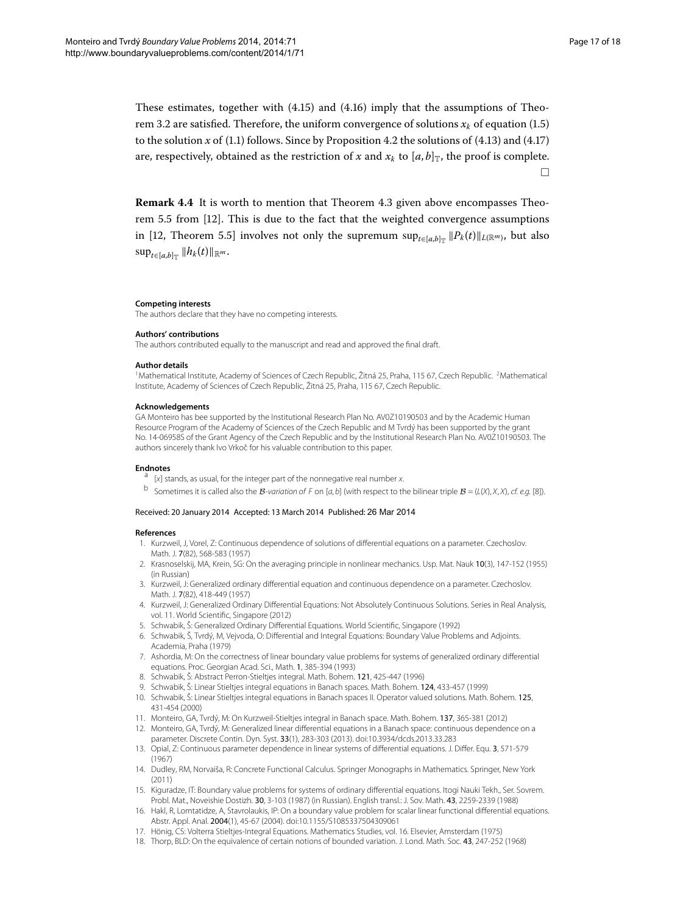These estimates, together with  $(4.15)$  $(4.15)$  $(4.15)$  and  $(4.16)$  imply that the assumptions of Theo-rem 3[.](#page-2-0)2 are satisfied. Therefore, the uniform convergence of solutions  $x_k$  of equation (1.5) to the solution  $x$  of (1[.](#page-15-2)1) follows. Since by Proposition 4.2 the solutions of (4.13) and (4.17) are, respectively, obtained as the restriction of *x* and  $x_k$  to  $[a, b]_{\mathbb{T}}$ , the proof is complete.  $\Box$ 

**Remark 4[.](#page-15-3)4** It is worth to mention that Theorem 4.3 given above encompasses Theorem  $5.5$  from  $[12]$  $[12]$ . This is due to the fact that the weighted convergence assumptions in [12[,](#page-16-13) Theorem 5.5] involves not only the supremum sup<sub>*t*∈[*a*,*b*]<sub>T</sub>  $||P_k(t)||_{L(\mathbb{R}^m)}$ , but also</sub>  $\sup_{t \in [a,b]_{\mathbb{T}}} ||h_k(t)||_{\mathbb{R}^m}$ .

#### <span id="page-16-1"></span><span id="page-16-0"></span>**Competing interests**

The authors declare that they have no competing interests.

#### **Authors' contributions**

The authors contributed equally to the manuscript and read and approved the final draft.

#### **Author details**

<span id="page-16-20"></span><span id="page-16-18"></span><sup>1</sup>Mathematical Institute, Academy of Sciences of Czech Republic, Žitná 25, Praha, 115 67, Czech Republic. <sup>2</sup>Mathematical Institute, Academy of Sciences of Czech Republic, Žitná 25, Praha, 115 67, Czech Republic.

#### **Acknowledgements**

<span id="page-16-2"></span>GA Monteiro has bee supported by the Institutional Research Plan No. AV0Z10190503 and by the Academic Human Resource Program of the Academy of Sciences of the Czech Republic and M Tvrdý has been supported by the grant No. 14-06958S of the Grant Agency of the Czech Republic and by the Institutional Research Plan No. AV0Z10190503. The authors sincerely thank Ivo Vrkoč for his valuable contribution to this paper.

- <span id="page-16-4"></span><span id="page-16-3"></span>**Endnotes**<br>a [x] stands, as usual, for the integer part of the nonnegative real number x.
- b Sometimes it is called also the B-variation of F on [a, b] (with respect to the bilinear triple  $B = (L(X), X, X)$ , cf. e.g. [[8](#page-16-9)]).

#### <span id="page-16-6"></span><span id="page-16-5"></span>Received: 20 January 2014 Accepted: 13 March 2014 Published: 26 Mar 2014

#### <span id="page-16-8"></span><span id="page-16-7"></span>**References**

- 1. Kurzweil, J, Vorel, Z: Continuous dependence of solutions of differential equations on a parameter. Czechoslov. Math. J. 7(82), 568-583 (1957)
- <span id="page-16-9"></span>2. Krasnoselskij, MA, Krein, SG: On the averaging principle in nonlinear mechanics. Usp. Mat. Nauk 10(3), 147-152 (1955) (in Russian)
- <span id="page-16-12"></span><span id="page-16-10"></span>3. Kurzweil, J: Generalized ordinary differential equation and continuous dependence on a parameter. Czechoslov. Math. J. 7(82), 418-449 (1957)
- <span id="page-16-11"></span>4. Kurzweil, J: Generalized Ordinary Differential Equations: Not Absolutely Continuous Solutions. Series in Real Analysis, vol. 11. World Scientific, Singapore (2012)
- <span id="page-16-13"></span>5. Schwabik, Š: Generalized Ordinary Differential Equations. World Scientific, Singapore (1992)
- <span id="page-16-14"></span>6. Schwabik, Š, Tvrdý, M, Vejvoda, O: Differential and Integral Equations: Boundary Value Problems and Adjoints. Academia, Praha (1979)
- 7. Ashordia, M: On the correctness of linear boundary value problems for systems of generalized ordinary differential equations. Proc. Georgian Acad. Sci., Math. 1, 385-394 (1993)
- <span id="page-16-15"></span>8. Schwabik, Š: Abstract Perron-Stieltjes integral. Math. Bohem. 121, 425-447 (1996)
- 9. Schwabik, Š: Linear Stieltjes integral equations in Banach spaces. Math. Bohem. 124, 433-457 (1999)
- <span id="page-16-17"></span><span id="page-16-16"></span>10. Schwabik, Š: Linear Stieltjes integral equations in Banach spaces II. Operator valued solutions. Math. Bohem. 125, 431-454 (2000)
- 11. Monteiro, GA, Tvrdý, M: On Kurzweil-Stieltjes integral in Banach space. Math. Bohem. 137, 365-381 (2012)
- <span id="page-16-21"></span><span id="page-16-19"></span>12. Monteiro, GA, Tvrdý, M: Generalized linear differential equations in a Banach space: continuous dependence on a parameter. Discrete Contin. Dyn. Syst. 33(1), 283-303 (2013). doi:[10.3934/dcds.2013.33.283](http://dx.doi.org/10.3934/dcds.2013.33.283)
- 13. Opial, Z: Continuous parameter dependence in linear systems of differential equations. J. Differ. Equ. 3, 571-579 (1967)
- 14. Dudley, RM, Norvaiša, R: Concrete Functional Calculus. Springer Monographs in Mathematics. Springer, New York (2011)
- 15. Kiguradze, IT: Boundary value problems for systems of ordinary differential equations. Itogi Nauki Tekh., Ser. Sovrem. Probl. Mat., Noveishie Dostizh. 30, 3-103 (1987) (in Russian). English transl.: J. Sov. Math. 43, 2259-2339 (1988)
- 16. Hakl, R, Lomtatidze, A, Stavrolaukis, IP: On a boundary value problem for scalar linear functional differential equations. Abstr. Appl. Anal. 2004(1), 45-67 (2004). doi:[10.1155/S1085337504309061](http://dx.doi.org/10.1155/S1085337504309061)
- 17. Hönig, CS: Volterra Stieltjes-Integral Equations. Mathematics Studies, vol. 16. Elsevier, Amsterdam (1975)
- 18. Thorp, BLD: On the equivalence of certain notions of bounded variation. J. Lond. Math. Soc. 43, 247-252 (1968)